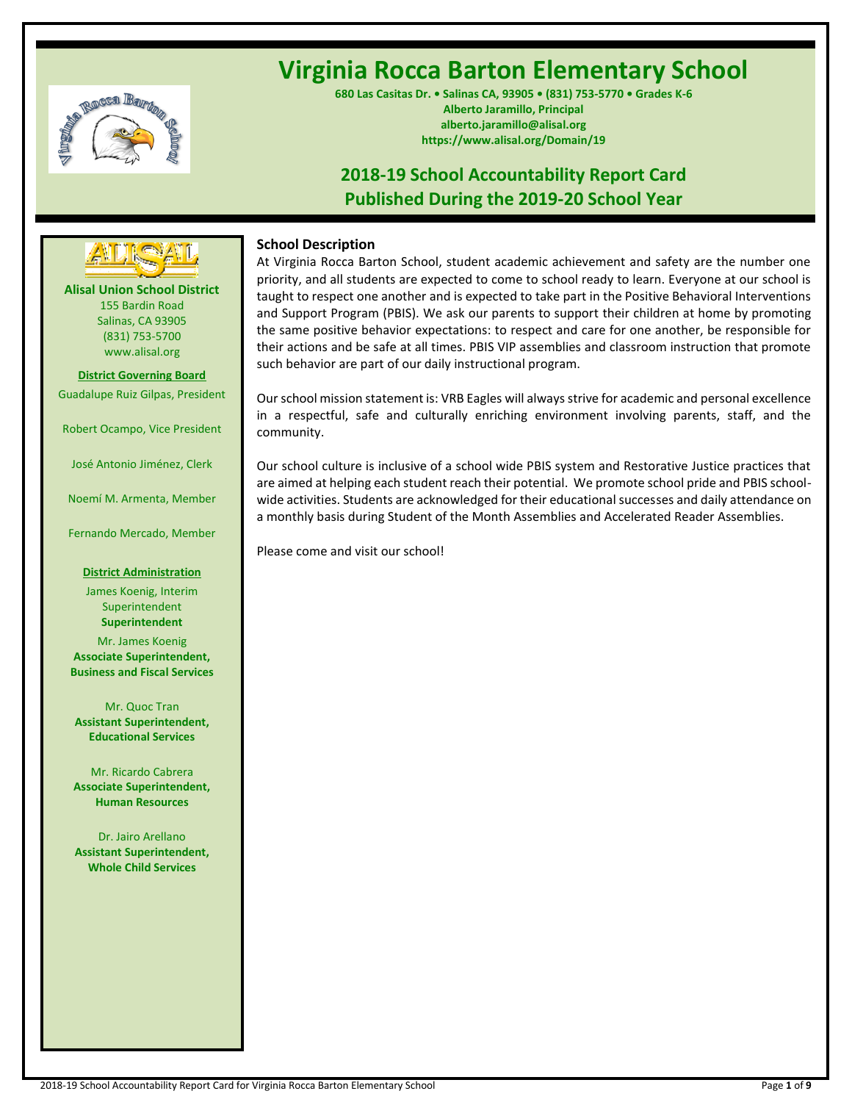

# **Virginia Rocca Barton Elementary School**

**680 Las Casitas Dr. • Salinas CA, 93905 • (831) 753-5770 • Grades K-6 Alberto Jaramillo, Principal alberto.jaramillo@alisal.org https://www.alisal.org/Domain/19**

## **2018-19 School Accountability Report Card Published During the 2019-20 School Year**



**Alisal Union School District** 155 Bardin Road Salinas, CA 93905 (831) 753-5700 www.alisal.org

**District Governing Board** Guadalupe Ruiz Gilpas, President

Robert Ocampo, Vice President

José Antonio Jiménez, Clerk

Noemí M. Armenta, Member

Fernando Mercado, Member

#### **District Administration**

James Koenig, Interim Superintendent **Superintendent**

Mr. James Koenig **Associate Superintendent, Business and Fiscal Services**

Mr. Quoc Tran **Assistant Superintendent, Educational Services**

Mr. Ricardo Cabrera **Associate Superintendent, Human Resources**

Dr. Jairo Arellano **Assistant Superintendent, Whole Child Services**

## **School Description**

At Virginia Rocca Barton School, student academic achievement and safety are the number one priority, and all students are expected to come to school ready to learn. Everyone at our school is taught to respect one another and is expected to take part in the Positive Behavioral Interventions and Support Program (PBIS). We ask our parents to support their children at home by promoting the same positive behavior expectations: to respect and care for one another, be responsible for their actions and be safe at all times. PBIS VIP assemblies and classroom instruction that promote such behavior are part of our daily instructional program.

Our school mission statement is: VRB Eagles will always strive for academic and personal excellence in a respectful, safe and culturally enriching environment involving parents, staff, and the community.

Our school culture is inclusive of a school wide PBIS system and Restorative Justice practices that are aimed at helping each student reach their potential. We promote school pride and PBIS schoolwide activities. Students are acknowledged for their educational successes and daily attendance on a monthly basis during Student of the Month Assemblies and Accelerated Reader Assemblies.

Please come and visit our school!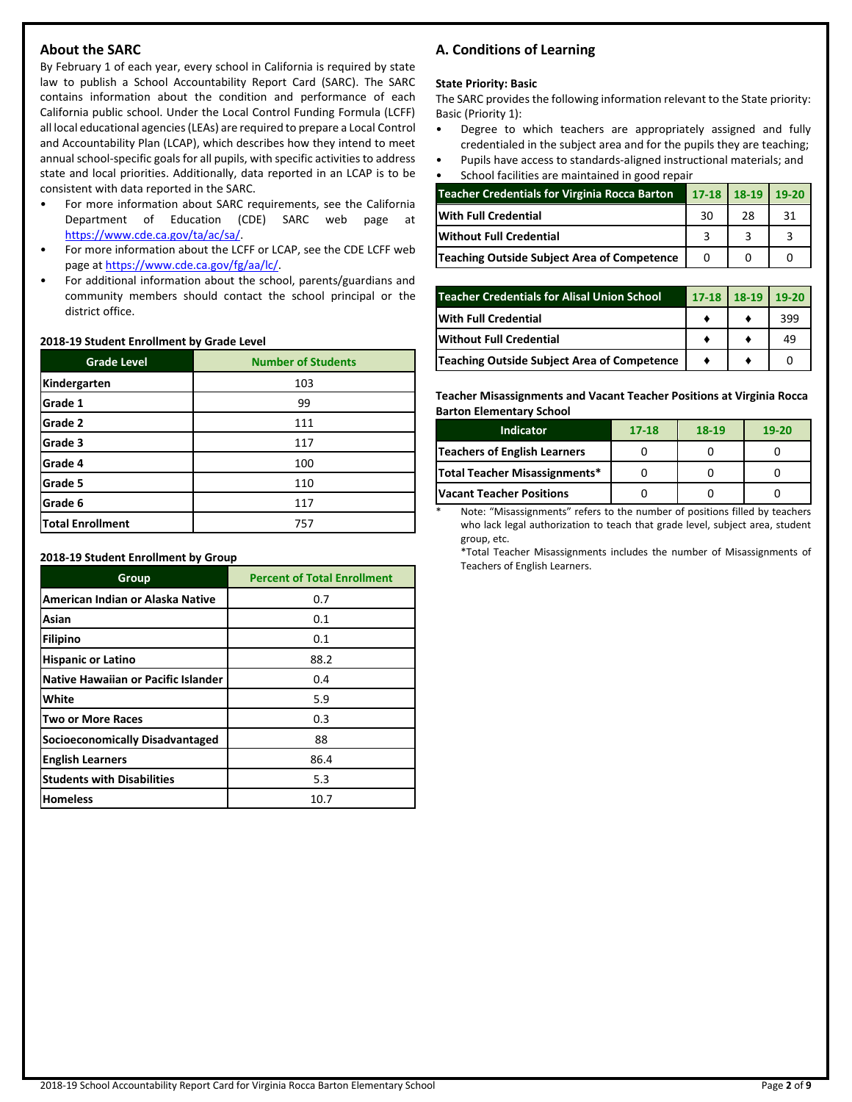## **About the SARC**

By February 1 of each year, every school in California is required by state law to publish a School Accountability Report Card (SARC). The SARC contains information about the condition and performance of each California public school. Under the Local Control Funding Formula (LCFF) all local educational agencies (LEAs) are required to prepare a Local Control and Accountability Plan (LCAP), which describes how they intend to meet annual school-specific goals for all pupils, with specific activities to address state and local priorities. Additionally, data reported in an LCAP is to be consistent with data reported in the SARC.

- For more information about SARC requirements, see the California Department of Education (CDE) SARC web page at [https://www.cde.ca.gov/ta/ac/sa/.](https://www.cde.ca.gov/ta/ac/sa/)
- For more information about the LCFF or LCAP, see the CDE LCFF web page at [https://www.cde.ca.gov/fg/aa/lc/.](https://www.cde.ca.gov/fg/aa/lc/)
- For additional information about the school, parents/guardians and community members should contact the school principal or the district office.

#### **2018-19 Student Enrollment by Grade Level**

| <b>Grade Level</b> | <b>Number of Students</b> |
|--------------------|---------------------------|
| Kindergarten       | 103                       |
| Grade 1            | 99                        |
| Grade 2            | 111                       |
| Grade 3            | 117                       |
| Grade 4            | 100                       |
| Grade 5            | 110                       |
| Grade 6            | 117                       |
| Total Enrollment   | 757                       |

**2018-19 Student Enrollment by Group**

| Group                                      | <b>Percent of Total Enrollment</b> |
|--------------------------------------------|------------------------------------|
| American Indian or Alaska Native           | 0.7                                |
| Asian                                      | 0.1                                |
| <b>Filipino</b>                            | 0.1                                |
| <b>Hispanic or Latino</b>                  | 88.2                               |
| <b>Native Hawaiian or Pacific Islander</b> | 0.4                                |
| White                                      | 5.9                                |
| <b>Two or More Races</b>                   | 0.3                                |
| Socioeconomically Disadvantaged            | 88                                 |
| <b>English Learners</b>                    | 86.4                               |
| <b>Students with Disabilities</b>          | 5.3                                |
| <b>Homeless</b>                            | 10.7                               |

## **A. Conditions of Learning**

#### **State Priority: Basic**

The SARC provides the following information relevant to the State priority: Basic (Priority 1):

- Degree to which teachers are appropriately assigned and fully credentialed in the subject area and for the pupils they are teaching;
- Pupils have access to standards-aligned instructional materials; and • School facilities are maintained in good repair

| <u>senoor raemeics are maintainea in good repair</u> |    |                   |    |  |
|------------------------------------------------------|----|-------------------|----|--|
| <b>Teacher Credentials for Virginia Rocca Barton</b> |    | 17-18 18-19 19-20 |    |  |
| <b>With Full Credential</b>                          | 30 | 28                | 31 |  |
| <b>Without Full Credential</b>                       |    |                   |    |  |
| Teaching Outside Subject Area of Competence          |    |                   |    |  |

| <b>Teacher Credentials for Alisal Union School</b> | 17-18 18-19 | 19-20 |
|----------------------------------------------------|-------------|-------|
| <b>With Full Credential</b>                        |             | 399   |
| <b>IWithout Full Credential</b>                    |             | 49    |
| Teaching Outside Subject Area of Competence        |             |       |

**Teacher Misassignments and Vacant Teacher Positions at Virginia Rocca Barton Elementary School**

| <b>Indicator</b>                | $17 - 18$ | 18-19 | $19-20$ |
|---------------------------------|-----------|-------|---------|
| Teachers of English Learners    |           |       |         |
| Total Teacher Misassignments*   |           |       |         |
| <b>Vacant Teacher Positions</b> |           |       |         |

Note: "Misassignments" refers to the number of positions filled by teachers who lack legal authorization to teach that grade level, subject area, student group, etc.

\*Total Teacher Misassignments includes the number of Misassignments of Teachers of English Learners.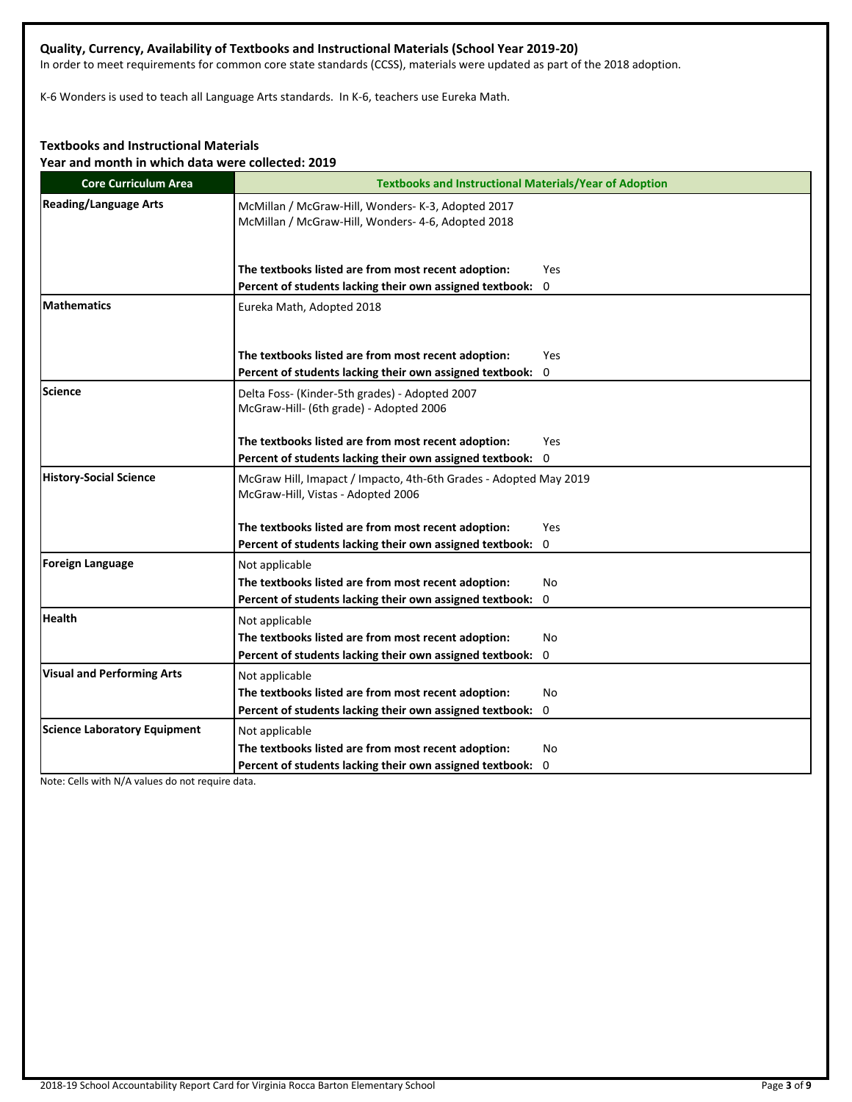## **Quality, Currency, Availability of Textbooks and Instructional Materials (School Year 2019-20)**

In order to meet requirements for common core state standards (CCSS), materials were updated as part of the 2018 adoption.

K-6 Wonders is used to teach all Language Arts standards. In K-6, teachers use Eureka Math.

## **Textbooks and Instructional Materials**

**Year and month in which data were collected: 2019**

| <b>Core Curriculum Area</b>         | <b>Textbooks and Instructional Materials/Year of Adoption</b>                                            |
|-------------------------------------|----------------------------------------------------------------------------------------------------------|
| <b>Reading/Language Arts</b>        | McMillan / McGraw-Hill, Wonders- K-3, Adopted 2017<br>McMillan / McGraw-Hill, Wonders- 4-6, Adopted 2018 |
|                                     | The textbooks listed are from most recent adoption:<br>Yes                                               |
|                                     | Percent of students lacking their own assigned textbook: 0                                               |
| <b>Mathematics</b>                  | Eureka Math, Adopted 2018                                                                                |
|                                     | The textbooks listed are from most recent adoption:<br>Yes                                               |
|                                     | Percent of students lacking their own assigned textbook:<br>0                                            |
| Science                             | Delta Foss- (Kinder-5th grades) - Adopted 2007<br>McGraw-Hill- (6th grade) - Adopted 2006                |
|                                     | The textbooks listed are from most recent adoption:<br>Yes                                               |
|                                     | Percent of students lacking their own assigned textbook: 0                                               |
| <b>History-Social Science</b>       | McGraw Hill, Imapact / Impacto, 4th-6th Grades - Adopted May 2019<br>McGraw-Hill, Vistas - Adopted 2006  |
|                                     | The textbooks listed are from most recent adoption:<br>Yes                                               |
|                                     | Percent of students lacking their own assigned textbook: 0                                               |
| Foreign Language                    | Not applicable                                                                                           |
|                                     | The textbooks listed are from most recent adoption:<br>No                                                |
|                                     | Percent of students lacking their own assigned textbook:<br>0                                            |
| <b>Health</b>                       | Not applicable                                                                                           |
|                                     | The textbooks listed are from most recent adoption:<br>No                                                |
|                                     | Percent of students lacking their own assigned textbook: 0                                               |
| <b>Visual and Performing Arts</b>   | Not applicable                                                                                           |
|                                     | The textbooks listed are from most recent adoption:<br>No                                                |
|                                     | Percent of students lacking their own assigned textbook: 0                                               |
| <b>Science Laboratory Equipment</b> | Not applicable                                                                                           |
|                                     | The textbooks listed are from most recent adoption:<br>No                                                |
|                                     | Percent of students lacking their own assigned textbook: 0                                               |

Note: Cells with N/A values do not require data.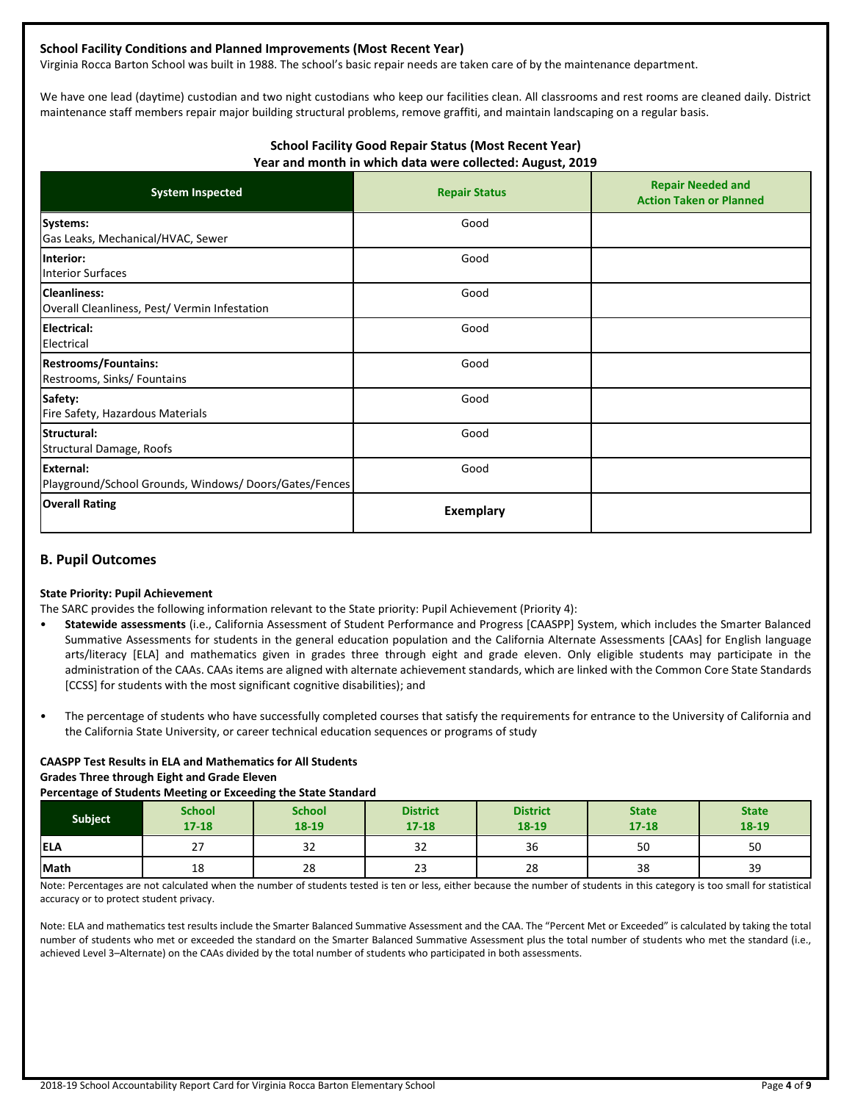#### **School Facility Conditions and Planned Improvements (Most Recent Year)**

Virginia Rocca Barton School was built in 1988. The school's basic repair needs are taken care of by the maintenance department.

We have one lead (daytime) custodian and two night custodians who keep our facilities clean. All classrooms and rest rooms are cleaned daily. District maintenance staff members repair major building structural problems, remove graffiti, and maintain landscaping on a regular basis.

#### **School Facility Good Repair Status (Most Recent Year) Year and month in which data were collected: August, 2019**

| <b>System Inspected</b>                                                   | <b>Repair Status</b> | <b>Repair Needed and</b><br><b>Action Taken or Planned</b> |
|---------------------------------------------------------------------------|----------------------|------------------------------------------------------------|
| Systems:<br>Gas Leaks, Mechanical/HVAC, Sewer                             | Good                 |                                                            |
| Interior:<br><b>Interior Surfaces</b>                                     | Good                 |                                                            |
| <b>Cleanliness:</b><br>Overall Cleanliness, Pest/Vermin Infestation       | Good                 |                                                            |
| <b>Electrical:</b><br>Electrical                                          | Good                 |                                                            |
| <b>Restrooms/Fountains:</b><br>Restrooms, Sinks/ Fountains                | Good                 |                                                            |
| Safety:<br>Fire Safety, Hazardous Materials                               | Good                 |                                                            |
| Structural:<br>Structural Damage, Roofs                                   | Good                 |                                                            |
| <b>External:</b><br>Playground/School Grounds, Windows/Doors/Gates/Fences | Good                 |                                                            |
| <b>Overall Rating</b>                                                     | Exemplary            |                                                            |

### **B. Pupil Outcomes**

#### **State Priority: Pupil Achievement**

The SARC provides the following information relevant to the State priority: Pupil Achievement (Priority 4):

- **Statewide assessments** (i.e., California Assessment of Student Performance and Progress [CAASPP] System, which includes the Smarter Balanced Summative Assessments for students in the general education population and the California Alternate Assessments [CAAs] for English language arts/literacy [ELA] and mathematics given in grades three through eight and grade eleven. Only eligible students may participate in the administration of the CAAs. CAAs items are aligned with alternate achievement standards, which are linked with the Common Core State Standards [CCSS] for students with the most significant cognitive disabilities); and
- The percentage of students who have successfully completed courses that satisfy the requirements for entrance to the University of California and the California State University, or career technical education sequences or programs of study

#### **CAASPP Test Results in ELA and Mathematics for All Students Grades Three through Eight and Grade Eleven Percentage of Students Meeting or Exceeding the State Standard**

| <b>Subject</b> | <b>School</b><br>$17 - 18$ | <b>School</b><br>$18 - 19$ | <b>District</b><br>$17 - 18$ | <b>District</b><br>18-19 | <b>State</b><br>$17 - 18$ | <b>State</b><br>18-19 |
|----------------|----------------------------|----------------------------|------------------------------|--------------------------|---------------------------|-----------------------|
| <b>IELA</b>    | $\overline{ }$<br>ر ے      | 32                         | $\sim$<br>ےر                 | 36                       | 50                        | 50                    |
| Math           | 18                         | 28                         | $\sim$<br>دے                 | 28                       | 38                        | 39                    |

Note: Percentages are not calculated when the number of students tested is ten or less, either because the number of students in this category is too small for statistical accuracy or to protect student privacy.

Note: ELA and mathematics test results include the Smarter Balanced Summative Assessment and the CAA. The "Percent Met or Exceeded" is calculated by taking the total number of students who met or exceeded the standard on the Smarter Balanced Summative Assessment plus the total number of students who met the standard (i.e., achieved Level 3–Alternate) on the CAAs divided by the total number of students who participated in both assessments.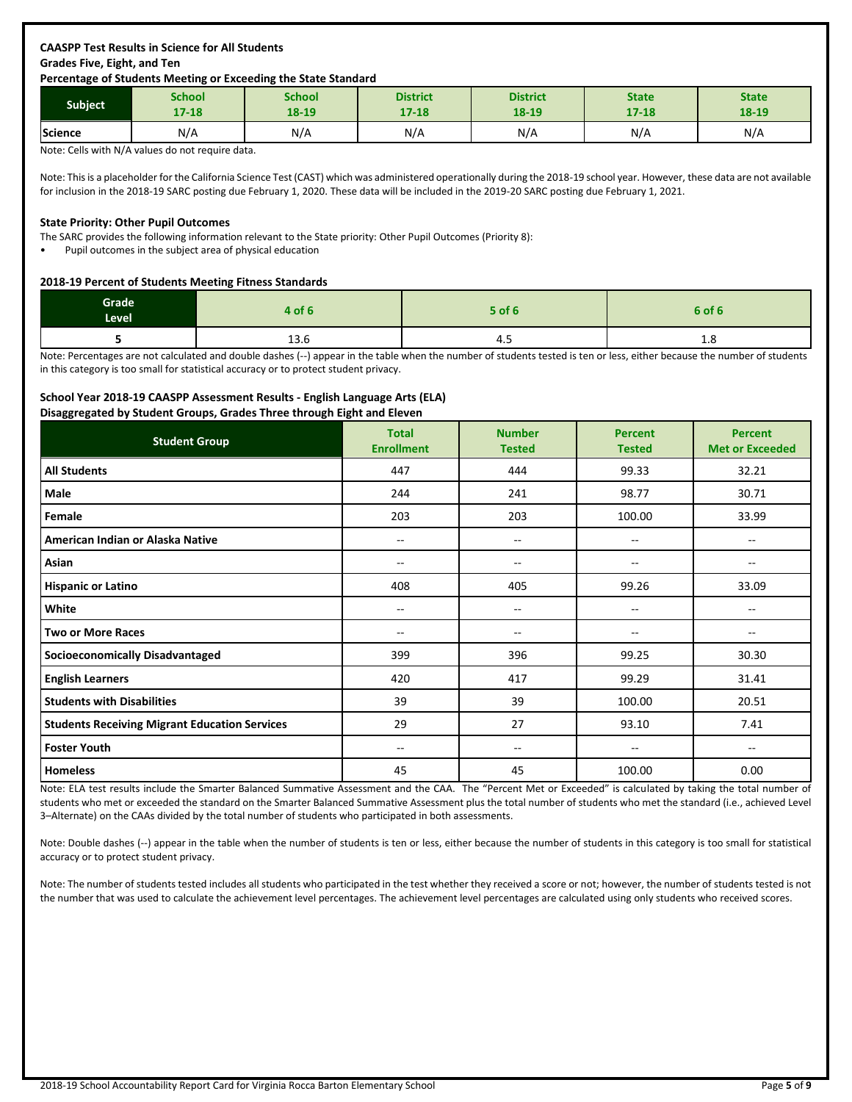## **CAASPP Test Results in Science for All Students Grades Five, Eight, and Ten**

#### **Percentage of Students Meeting or Exceeding the State Standard**

| <b>Subject</b> | School    | School | <b>District</b> | <b>District</b> | <b>State</b> | <b>State</b> |
|----------------|-----------|--------|-----------------|-----------------|--------------|--------------|
|                | $17 - 18$ | 18-19  | $17 - 18$       | 18-19           | $17 - 18$    | 18-19        |
| Science        | N/A       | N/A    | N/A             | N/A             | N/A          | N/A          |

Note: Cells with N/A values do not require data.

Note: This is a placeholder for the California Science Test (CAST) which was administered operationally during the 2018-19 school year. However, these data are not available for inclusion in the 2018-19 SARC posting due February 1, 2020. These data will be included in the 2019-20 SARC posting due February 1, 2021.

#### **State Priority: Other Pupil Outcomes**

The SARC provides the following information relevant to the State priority: Other Pupil Outcomes (Priority 8):

• Pupil outcomes in the subject area of physical education

#### **2018-19 Percent of Students Meeting Fitness Standards**

| Grade<br><b>Level</b> | 4 of 6         | 5 of 6 | 6 of 6 |
|-----------------------|----------------|--------|--------|
|                       | $\sim$<br>13.0 | -4.    | 0.⊥    |

Note: Percentages are not calculated and double dashes (--) appear in the table when the number of students tested is ten or less, either because the number of students in this category is too small for statistical accuracy or to protect student privacy.

#### **School Year 2018-19 CAASPP Assessment Results - English Language Arts (ELA)**

**Disaggregated by Student Groups, Grades Three through Eight and Eleven**

| ັ<br><b>Student Group</b>                            | <b>Total</b><br><b>Enrollment</b> | <b>Number</b><br><b>Tested</b> | <b>Percent</b><br><b>Tested</b> | <b>Percent</b><br><b>Met or Exceeded</b> |
|------------------------------------------------------|-----------------------------------|--------------------------------|---------------------------------|------------------------------------------|
| <b>All Students</b>                                  | 447                               | 444                            | 99.33                           | 32.21                                    |
| Male                                                 | 244                               | 241                            | 98.77                           | 30.71                                    |
| Female                                               | 203                               | 203                            | 100.00                          | 33.99                                    |
| American Indian or Alaska Native                     | $- -$                             | --                             | $-$                             |                                          |
| Asian                                                | --                                | --                             | --                              | --                                       |
| <b>Hispanic or Latino</b>                            | 408                               | 405                            | 99.26                           | 33.09                                    |
| White                                                | $- -$                             | $-$                            | $-$                             | $\overline{a}$                           |
| <b>Two or More Races</b>                             | $\hspace{0.05cm}$                 | --                             | --                              | --                                       |
| <b>Socioeconomically Disadvantaged</b>               | 399                               | 396                            | 99.25                           | 30.30                                    |
| <b>English Learners</b>                              | 420                               | 417                            | 99.29                           | 31.41                                    |
| <b>Students with Disabilities</b>                    | 39                                | 39                             | 100.00                          | 20.51                                    |
| <b>Students Receiving Migrant Education Services</b> | 29                                | 27                             | 93.10                           | 7.41                                     |
| <b>Foster Youth</b>                                  | $\overline{\phantom{a}}$          | --                             | --                              | --                                       |
| <b>Homeless</b>                                      | 45                                | 45                             | 100.00                          | 0.00                                     |

Note: ELA test results include the Smarter Balanced Summative Assessment and the CAA. The "Percent Met or Exceeded" is calculated by taking the total number of students who met or exceeded the standard on the Smarter Balanced Summative Assessment plus the total number of students who met the standard (i.e., achieved Level 3–Alternate) on the CAAs divided by the total number of students who participated in both assessments.

Note: Double dashes (--) appear in the table when the number of students is ten or less, either because the number of students in this category is too small for statistical accuracy or to protect student privacy.

Note: The number of students tested includes all students who participated in the test whether they received a score or not; however, the number of students tested is not the number that was used to calculate the achievement level percentages. The achievement level percentages are calculated using only students who received scores.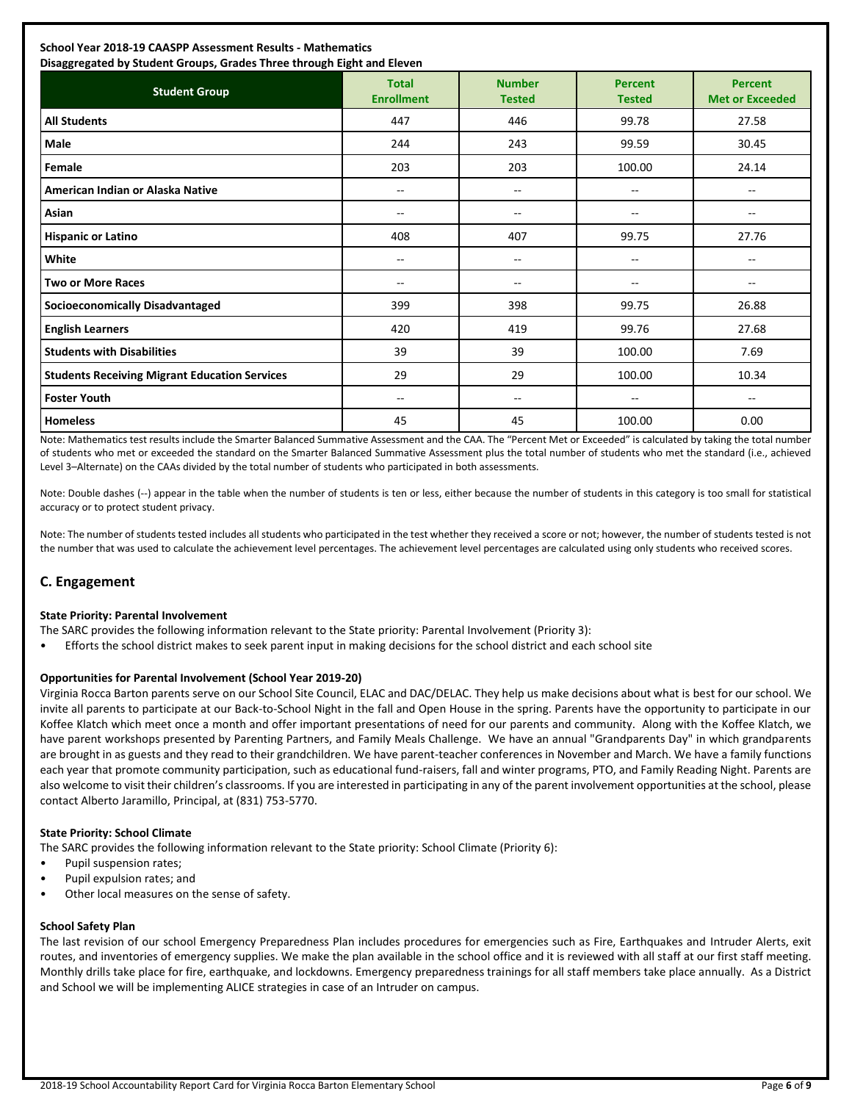## **School Year 2018-19 CAASPP Assessment Results - Mathematics**

| Disaggregated by Student Groups, Grades Three through Eight and Eleven |                                       |                                |                                 |                                          |  |  |
|------------------------------------------------------------------------|---------------------------------------|--------------------------------|---------------------------------|------------------------------------------|--|--|
| <b>Student Group</b>                                                   | <b>Total</b><br><b>Enrollment</b>     | <b>Number</b><br><b>Tested</b> | <b>Percent</b><br><b>Tested</b> | <b>Percent</b><br><b>Met or Exceeded</b> |  |  |
| <b>All Students</b>                                                    | 447                                   | 446                            | 99.78                           | 27.58                                    |  |  |
| Male                                                                   | 244                                   | 243                            | 99.59                           | 30.45                                    |  |  |
| Female                                                                 | 203                                   | 203                            | 100.00                          | 24.14                                    |  |  |
| American Indian or Alaska Native                                       | $\sim$                                | --                             | $- -$                           | $\overline{\phantom{a}}$                 |  |  |
| Asian                                                                  | $\hspace{0.05cm}$ – $\hspace{0.05cm}$ | --                             | --                              | --                                       |  |  |
| <b>Hispanic or Latino</b>                                              | 408                                   | 407                            | 99.75                           | 27.76                                    |  |  |
| White                                                                  | $\overline{\phantom{a}}$              | --                             | $\overline{\phantom{a}}$        | $\overline{\phantom{a}}$                 |  |  |
| <b>Two or More Races</b>                                               | $\hspace{0.05cm}$                     | --                             | --                              | $\overline{\phantom{m}}$                 |  |  |
| <b>Socioeconomically Disadvantaged</b>                                 | 399                                   | 398                            | 99.75                           | 26.88                                    |  |  |
| <b>English Learners</b>                                                | 420                                   | 419                            | 99.76                           | 27.68                                    |  |  |
| <b>Students with Disabilities</b>                                      | 39                                    | 39                             | 100.00                          | 7.69                                     |  |  |
| <b>Students Receiving Migrant Education Services</b>                   | 29                                    | 29                             | 100.00                          | 10.34                                    |  |  |
| <b>Foster Youth</b>                                                    | $\hspace{0.05cm}$                     | --                             | --                              | $- -$                                    |  |  |
| <b>Homeless</b>                                                        | 45                                    | 45                             | 100.00                          | 0.00                                     |  |  |

Note: Mathematics test results include the Smarter Balanced Summative Assessment and the CAA. The "Percent Met or Exceeded" is calculated by taking the total number of students who met or exceeded the standard on the Smarter Balanced Summative Assessment plus the total number of students who met the standard (i.e., achieved Level 3–Alternate) on the CAAs divided by the total number of students who participated in both assessments.

Note: Double dashes (--) appear in the table when the number of students is ten or less, either because the number of students in this category is too small for statistical accuracy or to protect student privacy.

Note: The number of students tested includes all students who participated in the test whether they received a score or not; however, the number of students tested is not the number that was used to calculate the achievement level percentages. The achievement level percentages are calculated using only students who received scores.

## **C. Engagement**

#### **State Priority: Parental Involvement**

The SARC provides the following information relevant to the State priority: Parental Involvement (Priority 3):

• Efforts the school district makes to seek parent input in making decisions for the school district and each school site

#### **Opportunities for Parental Involvement (School Year 2019-20)**

Virginia Rocca Barton parents serve on our School Site Council, ELAC and DAC/DELAC. They help us make decisions about what is best for our school. We invite all parents to participate at our Back-to-School Night in the fall and Open House in the spring. Parents have the opportunity to participate in our Koffee Klatch which meet once a month and offer important presentations of need for our parents and community. Along with the Koffee Klatch, we have parent workshops presented by Parenting Partners, and Family Meals Challenge. We have an annual "Grandparents Day" in which grandparents are brought in as guests and they read to their grandchildren. We have parent-teacher conferences in November and March. We have a family functions each year that promote community participation, such as educational fund-raisers, fall and winter programs, PTO, and Family Reading Night. Parents are also welcome to visit their children's classrooms. If you are interested in participating in any of the parent involvement opportunities at the school, please contact Alberto Jaramillo, Principal, at (831) 753-5770.

#### **State Priority: School Climate**

The SARC provides the following information relevant to the State priority: School Climate (Priority 6):

- Pupil suspension rates;
- Pupil expulsion rates; and
- Other local measures on the sense of safety.

#### **School Safety Plan**

The last revision of our school Emergency Preparedness Plan includes procedures for emergencies such as Fire, Earthquakes and Intruder Alerts, exit routes, and inventories of emergency supplies. We make the plan available in the school office and it is reviewed with all staff at our first staff meeting. Monthly drills take place for fire, earthquake, and lockdowns. Emergency preparedness trainings for all staff members take place annually. As a District and School we will be implementing ALICE strategies in case of an Intruder on campus.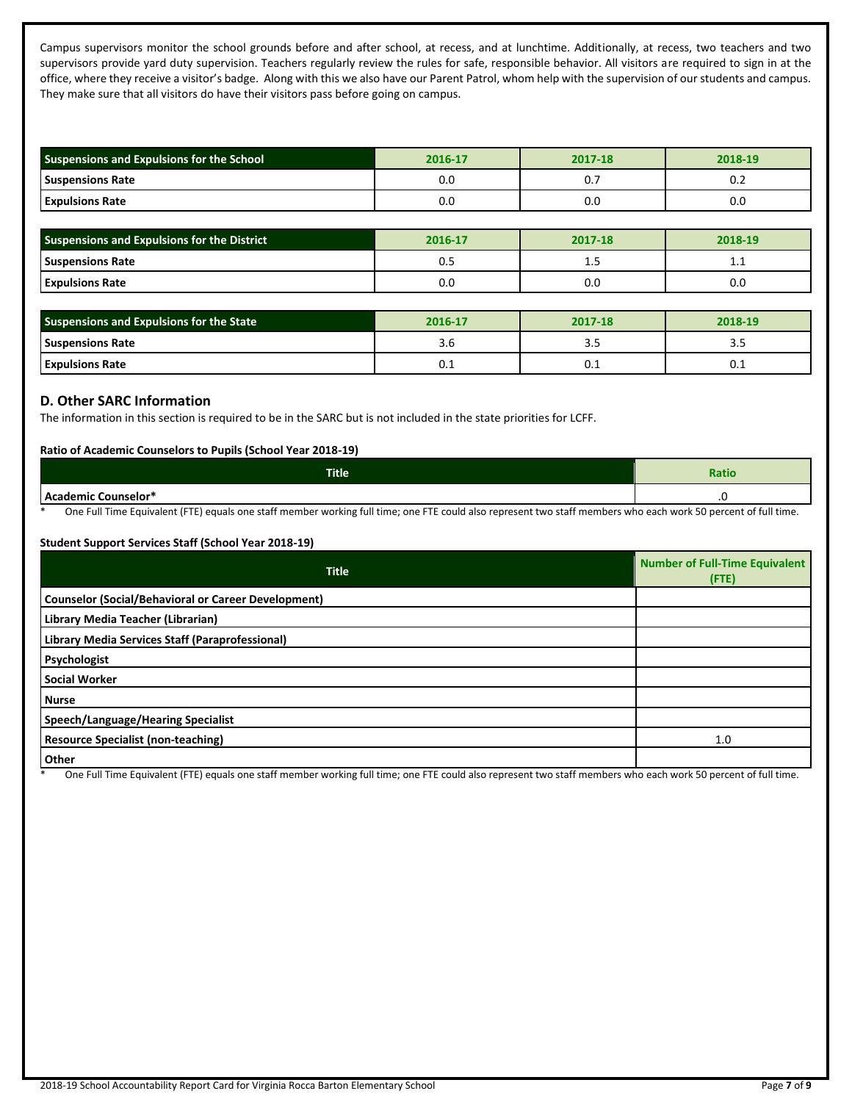Campus supervisors monitor the school grounds before and after school, at recess, and at lunchtime. Additionally, at recess, two teachers and two supervisors provide yard duty supervision. Teachers regularly review the rules for safe, responsible behavior. All visitors are required to sign in at the office, where they receive a visitor's badge. Along with this we also have our Parent Patrol, whom help with the supervision of our students and campus. They make sure that all visitors do have their visitors pass before going on campus.

| Suspensions and Expulsions for the School          | 2016-17 | 2017-18 | 2018-19 |
|----------------------------------------------------|---------|---------|---------|
| <b>Suspensions Rate</b>                            | 0.0     | 0.7     | 0.2     |
| <b>Expulsions Rate</b>                             | 0.0     | 0.0     | 0.0     |
|                                                    |         |         |         |
| <b>Suspensions and Expulsions for the District</b> | 2016-17 | 2017-18 | 2018-19 |
| <b>Suspensions Rate</b>                            | 0.5     | 1.5     | 1.1     |
| <b>Expulsions Rate</b>                             | 0.0     | 0.0     | 0.0     |
|                                                    |         |         |         |
| Suspensions and Expulsions for the State           | 2016-17 | 2017-18 | 2018-19 |
| <b>Suspensions Rate</b>                            | 3.6     | 3.5     | 3.5     |
| <b>Expulsions Rate</b>                             | 0.1     | 0.1     | 0.1     |

#### **D. Other SARC Information**

The information in this section is required to be in the SARC but is not included in the state priorities for LCFF.

#### **Ratio of Academic Counselors to Pupils (School Year 2018-19)**

| <b>Title</b>                | <b>Ratio</b>        |
|-----------------------------|---------------------|
| <b>LAcademic Counselor*</b> | $\cdot$ $\check{ }$ |

One Full Time Equivalent (FTE) equals one staff member working full time; one FTE could also represent two staff members who each work 50 percent of full time.

#### **Student Support Services Staff (School Year 2018-19)**

| <b>Title</b>                                               | <b>Number of Full-Time Equivalent</b><br>(FTE) |
|------------------------------------------------------------|------------------------------------------------|
| <b>Counselor (Social/Behavioral or Career Development)</b> |                                                |
| Library Media Teacher (Librarian)                          |                                                |
| Library Media Services Staff (Paraprofessional)            |                                                |
| Psychologist                                               |                                                |
| <b>Social Worker</b>                                       |                                                |
| <b>Nurse</b>                                               |                                                |
| <b>Speech/Language/Hearing Specialist</b>                  |                                                |
| <b>Resource Specialist (non-teaching)</b>                  | 1.0                                            |
| Other                                                      |                                                |

One Full Time Equivalent (FTE) equals one staff member working full time; one FTE could also represent two staff members who each work 50 percent of full time.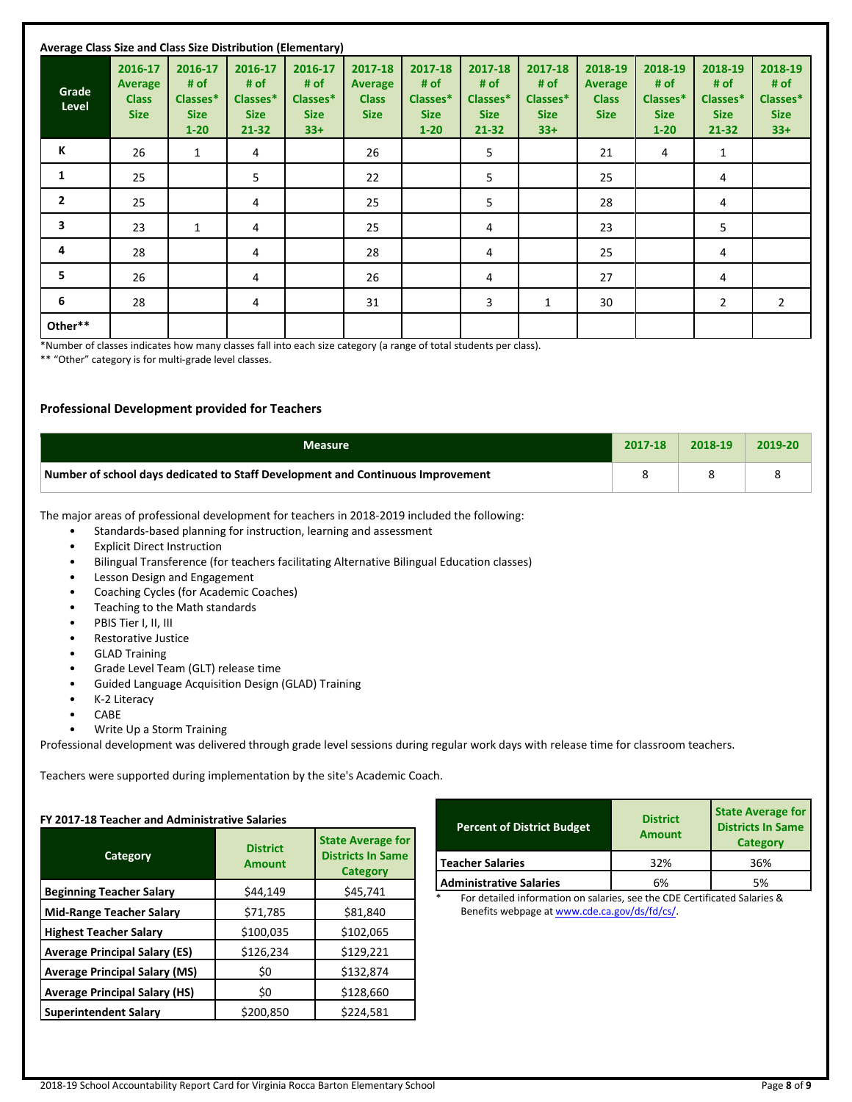| Average Class Size and Class Size Distribution (Elementary) |                                                   |                                                        |                                                         |                                                     |                                                          |                                                        |                                                     |                                                     |                                                          |                                                        |                                                         |                                                     |
|-------------------------------------------------------------|---------------------------------------------------|--------------------------------------------------------|---------------------------------------------------------|-----------------------------------------------------|----------------------------------------------------------|--------------------------------------------------------|-----------------------------------------------------|-----------------------------------------------------|----------------------------------------------------------|--------------------------------------------------------|---------------------------------------------------------|-----------------------------------------------------|
| Grade<br>Level                                              | 2016-17<br>Average<br><b>Class</b><br><b>Size</b> | 2016-17<br># of<br>Classes*<br><b>Size</b><br>$1 - 20$ | 2016-17<br># of<br>Classes*<br><b>Size</b><br>$21 - 32$ | 2016-17<br># of<br>Classes*<br><b>Size</b><br>$33+$ | 2017-18<br><b>Average</b><br><b>Class</b><br><b>Size</b> | 2017-18<br># of<br>Classes*<br><b>Size</b><br>$1 - 20$ | 2017-18<br># of<br>Classes*<br><b>Size</b><br>21-32 | 2017-18<br># of<br>Classes*<br><b>Size</b><br>$33+$ | 2018-19<br><b>Average</b><br><b>Class</b><br><b>Size</b> | 2018-19<br># of<br>Classes*<br><b>Size</b><br>$1 - 20$ | 2018-19<br># of<br>Classes*<br><b>Size</b><br>$21 - 32$ | 2018-19<br># of<br>Classes*<br><b>Size</b><br>$33+$ |
| К                                                           | 26                                                | 1                                                      | 4                                                       |                                                     | 26                                                       |                                                        | 5                                                   |                                                     | 21                                                       | 4                                                      | $\mathbf{1}$                                            |                                                     |
| $\mathbf{1}$                                                | 25                                                |                                                        | 5                                                       |                                                     | 22                                                       |                                                        | 5                                                   |                                                     | 25                                                       |                                                        | 4                                                       |                                                     |
| $\mathbf{2}$                                                | 25                                                |                                                        | 4                                                       |                                                     | 25                                                       |                                                        | 5                                                   |                                                     | 28                                                       |                                                        | 4                                                       |                                                     |
| 3                                                           | 23                                                | $\mathbf{1}$                                           | 4                                                       |                                                     | 25                                                       |                                                        | 4                                                   |                                                     | 23                                                       |                                                        | 5                                                       |                                                     |
| 4                                                           | 28                                                |                                                        | 4                                                       |                                                     | 28                                                       |                                                        | 4                                                   |                                                     | 25                                                       |                                                        | 4                                                       |                                                     |
| 5                                                           | 26                                                |                                                        | 4                                                       |                                                     | 26                                                       |                                                        | 4                                                   |                                                     | 27                                                       |                                                        | 4                                                       |                                                     |
| 6                                                           | 28                                                |                                                        | 4                                                       |                                                     | 31                                                       |                                                        | 3                                                   | 1                                                   | 30                                                       |                                                        | 2                                                       | $\overline{2}$                                      |
| Other**                                                     |                                                   |                                                        |                                                         |                                                     |                                                          |                                                        |                                                     |                                                     |                                                          |                                                        |                                                         |                                                     |

\*Number of classes indicates how many classes fall into each size category (a range of total students per class).

\*\* "Other" category is for multi-grade level classes.

#### **Professional Development provided for Teachers**

| Measure                                                                         | 2017-18 | 2018-19 | 2019-20 |
|---------------------------------------------------------------------------------|---------|---------|---------|
| Number of school days dedicated to Staff Development and Continuous Improvement |         |         |         |

The major areas of professional development for teachers in 2018-2019 included the following:

- Standards-based planning for instruction, learning and assessment
- Explicit Direct Instruction
- Bilingual Transference (for teachers facilitating Alternative Bilingual Education classes)
- Lesson Design and Engagement
- Coaching Cycles (for Academic Coaches)
- Teaching to the Math standards
- PBIS Tier I, II, III
- Restorative Justice
- GLAD Training
- Grade Level Team (GLT) release time
- Guided Language Acquisition Design (GLAD) Training
- **K-2 Literacy**
- CABE
- Write Up a Storm Training

Professional development was delivered through grade level sessions during regular work days with release time for classroom teachers.

Teachers were supported during implementation by the site's Academic Coach.

| <b>Category</b>                      | <b>District</b><br>Amount | <b>State Average for</b><br><b>Districts In Same</b><br><b>Category</b> |
|--------------------------------------|---------------------------|-------------------------------------------------------------------------|
| <b>Beginning Teacher Salary</b>      | \$44,149                  | \$45,741                                                                |
| <b>Mid-Range Teacher Salary</b>      | \$71,785                  | \$81,840                                                                |
| <b>Highest Teacher Salary</b>        | \$100,035                 | \$102,065                                                               |
| <b>Average Principal Salary (ES)</b> | \$126,234                 | \$129,221                                                               |
| <b>Average Principal Salary (MS)</b> | \$0                       | \$132,874                                                               |
| <b>Average Principal Salary (HS)</b> | \$0                       | \$128,660                                                               |
| <b>Superintendent Salary</b>         | \$200,850                 | \$224,581                                                               |

| <b>Percent of District Budget</b> | <b>District</b><br>Amount | <b>State Average for</b><br><b>Districts In Same</b><br>Category |  |
|-----------------------------------|---------------------------|------------------------------------------------------------------|--|
| <b>Teacher Salaries</b>           | 32%                       | 36%                                                              |  |
| <b>Administrative Salaries</b>    | 6%                        | 5%                                                               |  |

\* For detailed information on salaries, see the CDE Certificated Salaries & Benefits webpage a[t www.cde.ca.gov/ds/fd/cs/.](http://www.cde.ca.gov/ds/fd/cs/)